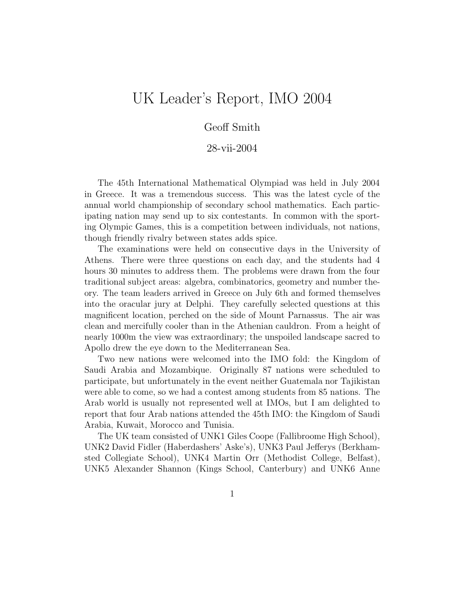# UK Leader's Report, IMO 2004

#### Geoff Smith

#### 28-vii-2004

The 45th International Mathematical Olympiad was held in July 2004 in Greece. It was a tremendous success. This was the latest cycle of the annual world championship of secondary school mathematics. Each participating nation may send up to six contestants. In common with the sporting Olympic Games, this is a competition between individuals, not nations, though friendly rivalry between states adds spice.

The examinations were held on consecutive days in the University of Athens. There were three questions on each day, and the students had 4 hours 30 minutes to address them. The problems were drawn from the four traditional subject areas: algebra, combinatorics, geometry and number theory. The team leaders arrived in Greece on July 6th and formed themselves into the oracular jury at Delphi. They carefully selected questions at this magnificent location, perched on the side of Mount Parnassus. The air was clean and mercifully cooler than in the Athenian cauldron. From a height of nearly 1000m the view was extraordinary; the unspoiled landscape sacred to Apollo drew the eye down to the Mediterranean Sea.

Two new nations were welcomed into the IMO fold: the Kingdom of Saudi Arabia and Mozambique. Originally 87 nations were scheduled to participate, but unfortunately in the event neither Guatemala nor Tajikistan were able to come, so we had a contest among students from 85 nations. The Arab world is usually not represented well at IMOs, but I am delighted to report that four Arab nations attended the 45th IMO: the Kingdom of Saudi Arabia, Kuwait, Morocco and Tunisia.

The UK team consisted of UNK1 Giles Coope (Fallibroome High School), UNK2 David Fidler (Haberdashers' Aske's), UNK3 Paul Jefferys (Berkhamsted Collegiate School), UNK4 Martin Orr (Methodist College, Belfast), UNK5 Alexander Shannon (Kings School, Canterbury) and UNK6 Anne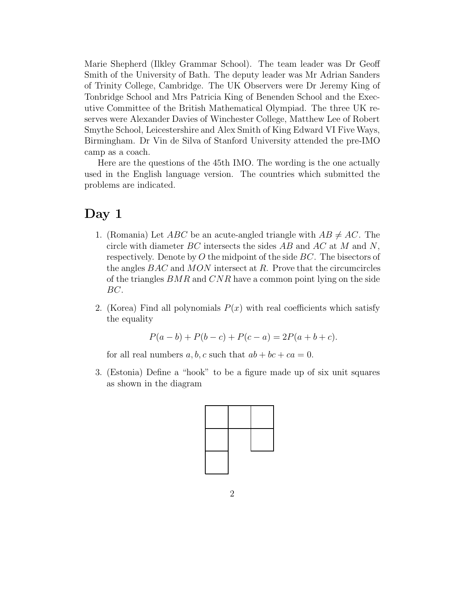Marie Shepherd (Ilkley Grammar School). The team leader was Dr Geoff Smith of the University of Bath. The deputy leader was Mr Adrian Sanders of Trinity College, Cambridge. The UK Observers were Dr Jeremy King of Tonbridge School and Mrs Patricia King of Benenden School and the Executive Committee of the British Mathematical Olympiad. The three UK reserves were Alexander Davies of Winchester College, Matthew Lee of Robert Smythe School, Leicestershire and Alex Smith of King Edward VI Five Ways, Birmingham. Dr Vin de Silva of Stanford University attended the pre-IMO camp as a coach.

Here are the questions of the 45th IMO. The wording is the one actually used in the English language version. The countries which submitted the problems are indicated.

#### **Day 1**

- 1. (Romania) Let *ABC* be an acute-angled triangle with  $AB \neq AC$ . The circle with diameter  $BC$  intersects the sides  $AB$  and  $AC$  at M and N, respectively. Denote by  $O$  the midpoint of the side  $BC$ . The bisectors of the angles  $BAC$  and  $MON$  intersect at R. Prove that the circumcircles of the triangles BMR and CNR have a common point lying on the side BC.
- 2. (Korea) Find all polynomials  $P(x)$  with real coefficients which satisfy the equality

$$
P(a - b) + P(b - c) + P(c - a) = 2P(a + b + c).
$$

for all real numbers a, b, c such that  $ab + bc + ca = 0$ .

3. (Estonia) Define a "hook" to be a figure made up of six unit squares as shown in the diagram

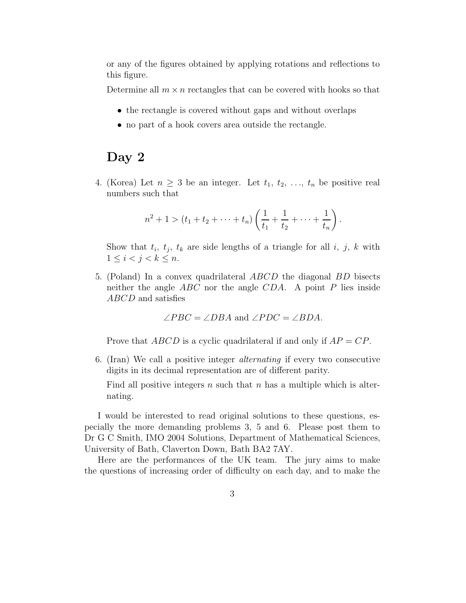or any of the figures obtained by applying rotations and reflections to this figure.

Determine all  $m \times n$  rectangles that can be covered with hooks so that

- the rectangle is covered without gaps and without overlaps
- no part of a hook covers area outside the rectangle.

## **Day 2**

4. (Korea) Let  $n \geq 3$  be an integer. Let  $t_1, t_2, \ldots, t_n$  be positive real numbers such that

$$
n^{2}+1 > (t_{1}+t_{2}+\cdots+t_{n})\left(\frac{1}{t_{1}}+\frac{1}{t_{2}}+\cdots+\frac{1}{t_{n}}\right).
$$

Show that  $t_i$ ,  $t_j$ ,  $t_k$  are side lengths of a triangle for all i, j, k with  $1 \leq i < j < k \leq n$ .

5. (Poland) In a convex quadrilateral ABCD the diagonal BD bisects neither the angle  $ABC$  nor the angle  $CDA$ . A point P lies inside ABCD and satisfies

$$
\angle PBC = \angle DBA
$$
 and  $\angle PDC = \angle BDA$ .

Prove that  $ABCD$  is a cyclic quadrilateral if and only if  $AP = CP$ .

6. (Iran) We call a positive integer alternating if every two consecutive digits in its decimal representation are of different parity.

Find all positive integers  $n$  such that  $n$  has a multiple which is alternating.

I would be interested to read original solutions to these questions, especially the more demanding problems 3, 5 and 6. Please post them to Dr G C Smith, IMO 2004 Solutions, Department of Mathematical Sciences, University of Bath, Claverton Down, Bath BA2 7AY.

Here are the performances of the UK team. The jury aims to make the questions of increasing order of difficulty on each day, and to make the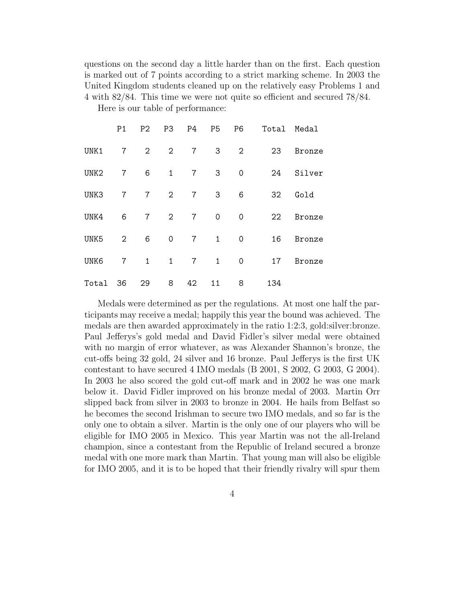questions on the second day a little harder than on the first. Each question is marked out of 7 points according to a strict marking scheme. In 2003 the United Kingdom students cleaned up on the relatively easy Problems 1 and 4 with 82/84. This time we were not quite so efficient and secured 78/84.

Here is our table of performance:

|                  | P <sub>1</sub> | P2             | P3                  | P4             | <b>P5</b>    | P <sub>6</sub> | Total Medal |        |
|------------------|----------------|----------------|---------------------|----------------|--------------|----------------|-------------|--------|
| UNK1             | $\overline{7}$ | 2              | $\overline{2}$      | $\overline{7}$ | 3            | $\overline{2}$ | 23          | Bronze |
| UNK <sub>2</sub> | $\overline{7}$ | 6              | $\mathbf{1}$        | $\overline{7}$ | 3            | $\mathbf 0$    | 24          | Silver |
| UNK3             | $\overline{7}$ | $\overline{7}$ | $\overline{2}$      | $\overline{7}$ | 3            | 6              | 32          | Gold   |
| UNK4             | 6              | $\overline{7}$ | $\overline{2}$      | $\overline{7}$ | $\mathbf 0$  | $\mathbf 0$    | 22          | Bronze |
| UNK5             | 2              | 6              | $\mathsf{O}\xspace$ | $\overline{7}$ | $\mathbf{1}$ | $\mathbf 0$    | 16          | Bronze |
| UNK6             | $\overline{7}$ | $\mathbf{1}$   | $\mathbf{1}$        | $\overline{7}$ | 1            | $\mathbf 0$    | 17          | Bronze |
| Total            | - 36           | 29             | 8                   | 42             | 11           | 8              | 134         |        |

Medals were determined as per the regulations. At most one half the participants may receive a medal; happily this year the bound was achieved. The medals are then awarded approximately in the ratio 1:2:3, gold:silver:bronze. Paul Jefferys's gold medal and David Fidler's silver medal were obtained with no margin of error whatever, as was Alexander Shannon's bronze, the cut-offs being 32 gold, 24 silver and 16 bronze. Paul Jefferys is the first UK contestant to have secured 4 IMO medals (B 2001, S 2002, G 2003, G 2004). In 2003 he also scored the gold cut-off mark and in 2002 he was one mark below it. David Fidler improved on his bronze medal of 2003. Martin Orr slipped back from silver in 2003 to bronze in 2004. He hails from Belfast so he becomes the second Irishman to secure two IMO medals, and so far is the only one to obtain a silver. Martin is the only one of our players who will be eligible for IMO 2005 in Mexico. This year Martin was not the all-Ireland champion, since a contestant from the Republic of Ireland secured a bronze medal with one more mark than Martin. That young man will also be eligible for IMO 2005, and it is to be hoped that their friendly rivalry will spur them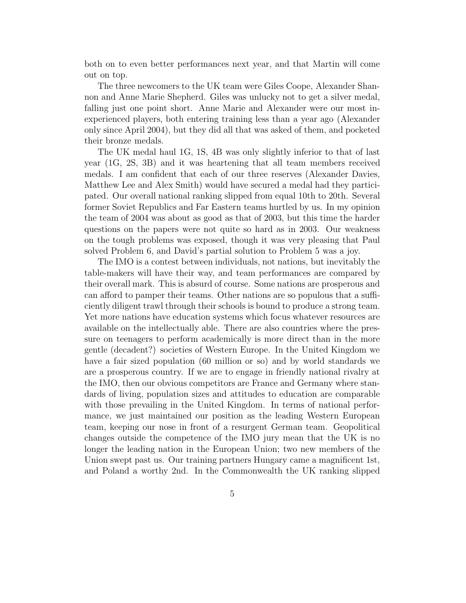both on to even better performances next year, and that Martin will come out on top.

The three newcomers to the UK team were Giles Coope, Alexander Shannon and Anne Marie Shepherd. Giles was unlucky not to get a silver medal, falling just one point short. Anne Marie and Alexander were our most inexperienced players, both entering training less than a year ago (Alexander only since April 2004), but they did all that was asked of them, and pocketed their bronze medals.

The UK medal haul 1G, 1S, 4B was only slightly inferior to that of last year (1G, 2S, 3B) and it was heartening that all team members received medals. I am confident that each of our three reserves (Alexander Davies, Matthew Lee and Alex Smith) would have secured a medal had they participated. Our overall national ranking slipped from equal 10th to 20th. Several former Soviet Republics and Far Eastern teams hurtled by us. In my opinion the team of 2004 was about as good as that of 2003, but this time the harder questions on the papers were not quite so hard as in 2003. Our weakness on the tough problems was exposed, though it was very pleasing that Paul solved Problem 6, and David's partial solution to Problem 5 was a joy.

The IMO is a contest between individuals, not nations, but inevitably the table-makers will have their way, and team performances are compared by their overall mark. This is absurd of course. Some nations are prosperous and can afford to pamper their teams. Other nations are so populous that a sufficiently diligent trawl through their schools is bound to produce a strong team. Yet more nations have education systems which focus whatever resources are available on the intellectually able. There are also countries where the pressure on teenagers to perform academically is more direct than in the more gentle (decadent?) societies of Western Europe. In the United Kingdom we have a fair sized population (60 million or so) and by world standards we are a prosperous country. If we are to engage in friendly national rivalry at the IMO, then our obvious competitors are France and Germany where standards of living, population sizes and attitudes to education are comparable with those prevailing in the United Kingdom. In terms of national performance, we just maintained our position as the leading Western European team, keeping our nose in front of a resurgent German team. Geopolitical changes outside the competence of the IMO jury mean that the UK is no longer the leading nation in the European Union; two new members of the Union swept past us. Our training partners Hungary came a magnificent 1st, and Poland a worthy 2nd. In the Commonwealth the UK ranking slipped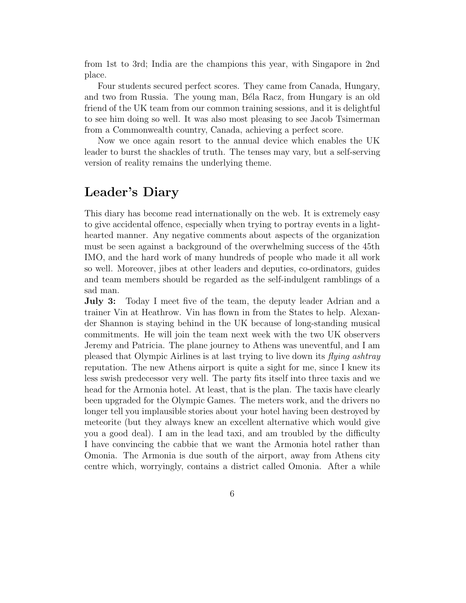from 1st to 3rd; India are the champions this year, with Singapore in 2nd place.

Four students secured perfect scores. They came from Canada, Hungary, and two from Russia. The young man, Béla Racz, from Hungary is an old friend of the UK team from our common training sessions, and it is delightful to see him doing so well. It was also most pleasing to see Jacob Tsimerman from a Commonwealth country, Canada, achieving a perfect score.

Now we once again resort to the annual device which enables the UK leader to burst the shackles of truth. The tenses may vary, but a self-serving version of reality remains the underlying theme.

#### **Leader's Diary**

This diary has become read internationally on the web. It is extremely easy to give accidental offence, especially when trying to portray events in a lighthearted manner. Any negative comments about aspects of the organization must be seen against a background of the overwhelming success of the 45th IMO, and the hard work of many hundreds of people who made it all work so well. Moreover, jibes at other leaders and deputies, co-ordinators, guides and team members should be regarded as the self-indulgent ramblings of a sad man.

**July 3:** Today I meet five of the team, the deputy leader Adrian and a trainer Vin at Heathrow. Vin has flown in from the States to help. Alexander Shannon is staying behind in the UK because of long-standing musical commitments. He will join the team next week with the two UK observers Jeremy and Patricia. The plane journey to Athens was uneventful, and I am pleased that Olympic Airlines is at last trying to live down its flying ashtray reputation. The new Athens airport is quite a sight for me, since I knew its less swish predecessor very well. The party fits itself into three taxis and we head for the Armonia hotel. At least, that is the plan. The taxis have clearly been upgraded for the Olympic Games. The meters work, and the drivers no longer tell you implausible stories about your hotel having been destroyed by meteorite (but they always knew an excellent alternative which would give you a good deal). I am in the lead taxi, and am troubled by the difficulty I have convincing the cabbie that we want the Armonia hotel rather than Omonia. The Armonia is due south of the airport, away from Athens city centre which, worryingly, contains a district called Omonia. After a while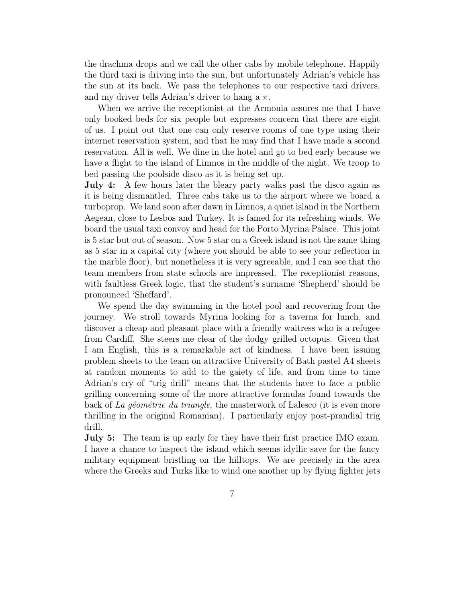the drachma drops and we call the other cabs by mobile telephone. Happily the third taxi is driving into the sun, but unfortunately Adrian's vehicle has the sun at its back. We pass the telephones to our respective taxi drivers, and my driver tells Adrian's driver to hang a  $\pi$ .

When we arrive the receptionist at the Armonia assures me that I have only booked beds for six people but expresses concern that there are eight of us. I point out that one can only reserve rooms of one type using their internet reservation system, and that he may find that I have made a second reservation. All is well. We dine in the hotel and go to bed early because we have a flight to the island of Limnos in the middle of the night. We troop to bed passing the poolside disco as it is being set up.

**July 4:** A few hours later the bleary party walks past the disco again as it is being dismantled. Three cabs take us to the airport where we board a turboprop. We land soon after dawn in Limnos, a quiet island in the Northern Aegean, close to Lesbos and Turkey. It is famed for its refreshing winds. We board the usual taxi convoy and head for the Porto Myrina Palace. This joint is 5 star but out of season. Now 5 star on a Greek island is not the same thing as 5 star in a capital city (where you should be able to see your reflection in the marble floor), but nonetheless it is very agreeable, and I can see that the team members from state schools are impressed. The receptionist reasons, with faultless Greek logic, that the student's surname 'Shepherd' should be pronounced 'Sheffard'.

We spend the day swimming in the hotel pool and recovering from the journey. We stroll towards Myrina looking for a taverna for lunch, and discover a cheap and pleasant place with a friendly waitress who is a refugee from Cardiff. She steers me clear of the dodgy grilled octopus. Given that I am English, this is a remarkable act of kindness. I have been issuing problem sheets to the team on attractive University of Bath pastel A4 sheets at random moments to add to the gaiety of life, and from time to time Adrian's cry of "trig drill" means that the students have to face a public grilling concerning some of the more attractive formulas found towards the back of La géométrie du triangle, the masterwork of Lalesco (it is even more thrilling in the original Romanian). I particularly enjoy post-prandial trig drill.

**July 5:** The team is up early for they have their first practice IMO exam. I have a chance to inspect the island which seems idyllic save for the fancy military equipment bristling on the hilltops. We are precisely in the area where the Greeks and Turks like to wind one another up by flying fighter jets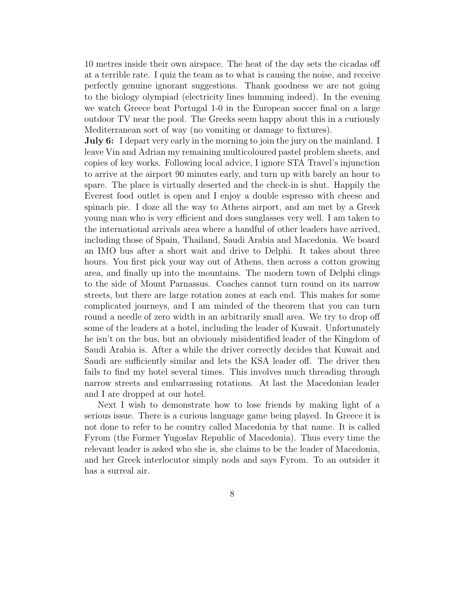10 metres inside their own airspace. The heat of the day sets the cicadas off at a terrible rate. I quiz the team as to what is causing the noise, and receive perfectly genuine ignorant suggestions. Thank goodness we are not going to the biology olympiad (electricity lines humming indeed). In the evening we watch Greece beat Portugal 1-0 in the European soccer final on a large outdoor TV near the pool. The Greeks seem happy about this in a curiously Mediterranean sort of way (no vomiting or damage to fixtures).

**July 6:** I depart very early in the morning to join the jury on the mainland. I leave Vin and Adrian my remaining multicoloured pastel problem sheets, and copies of key works. Following local advice, I ignore STA Travel's injunction to arrive at the airport 90 minutes early, and turn up with barely an hour to spare. The place is virtually deserted and the check-in is shut. Happily the Everest food outlet is open and I enjoy a double espresso with cheese and spinach pie. I doze all the way to Athens airport, and am met by a Greek young man who is very efficient and does sunglasses very well. I am taken to the international arrivals area where a handful of other leaders have arrived, including those of Spain, Thailand, Saudi Arabia and Macedonia. We board an IMO bus after a short wait and drive to Delphi. It takes about three hours. You first pick your way out of Athens, then across a cotton growing area, and finally up into the mountains. The modern town of Delphi clings to the side of Mount Parnassus. Coaches cannot turn round on its narrow streets, but there are large rotation zones at each end. This makes for some complicated journeys, and I am minded of the theorem that you can turn round a needle of zero width in an arbitrarily small area. We try to drop off some of the leaders at a hotel, including the leader of Kuwait. Unfortunately he isn't on the bus, but an obviously misidentified leader of the Kingdom of Saudi Arabia is. After a while the driver correctly decides that Kuwait and Saudi are sufficiently similar and lets the KSA leader off. The driver then fails to find my hotel several times. This involves much threading through narrow streets and embarrassing rotations. At last the Macedonian leader and I are dropped at our hotel.

Next I wish to demonstrate how to lose friends by making light of a serious issue. There is a curious language game being played. In Greece it is not done to refer to he country called Macedonia by that name. It is called Fyrom (the Former Yugoslav Republic of Macedonia). Thus every time the relevant leader is asked who she is, she claims to be the leader of Macedonia, and her Greek interlocutor simply nods and says Fyrom. To an outsider it has a surreal air.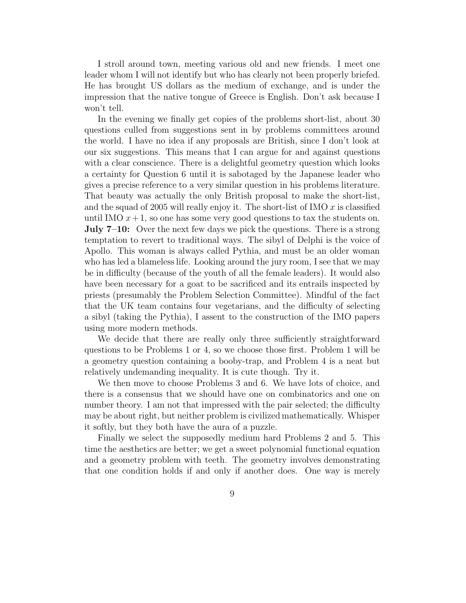I stroll around town, meeting various old and new friends. I meet one leader whom I will not identify but who has clearly not been properly briefed. He has brought US dollars as the medium of exchange, and is under the impression that the native tongue of Greece is English. Don't ask because I won't tell.

In the evening we finally get copies of the problems short-list, about 30 questions culled from suggestions sent in by problems committees around the world. I have no idea if any proposals are British, since I don't look at our six suggestions. This means that I can argue for and against questions with a clear conscience. There is a delightful geometry question which looks a certainty for Question 6 until it is sabotaged by the Japanese leader who gives a precise reference to a very similar question in his problems literature. That beauty was actually the only British proposal to make the short-list, and the squad of 2005 will really enjoy it. The short-list of IMO  $x$  is classified until IMO  $x+1$ , so one has some very good questions to tax the students on. **July 7–10:** Over the next few days we pick the questions. There is a strong temptation to revert to traditional ways. The sibyl of Delphi is the voice of Apollo. This woman is always called Pythia, and must be an older woman who has led a blameless life. Looking around the jury room, I see that we may be in difficulty (because of the youth of all the female leaders). It would also have been necessary for a goat to be sacrificed and its entrails inspected by priests (presumably the Problem Selection Committee). Mindful of the fact that the UK team contains four vegetarians, and the difficulty of selecting a sibyl (taking the Pythia), I assent to the construction of the IMO papers using more modern methods.

We decide that there are really only three sufficiently straightforward questions to be Problems 1 or 4, so we choose those first. Problem 1 will be a geometry question containing a booby-trap, and Problem 4 is a neat but relatively undemanding inequality. It is cute though. Try it.

We then move to choose Problems 3 and 6. We have lots of choice, and there is a consensus that we should have one on combinatorics and one on number theory. I am not that impressed with the pair selected; the difficulty may be about right, but neither problem is civilized mathematically. Whisper it softly, but they both have the aura of a puzzle.

Finally we select the supposedly medium hard Problems 2 and 5. This time the aesthetics are better; we get a sweet polynomial functional equation and a geometry problem with teeth. The geometry involves demonstrating that one condition holds if and only if another does. One way is merely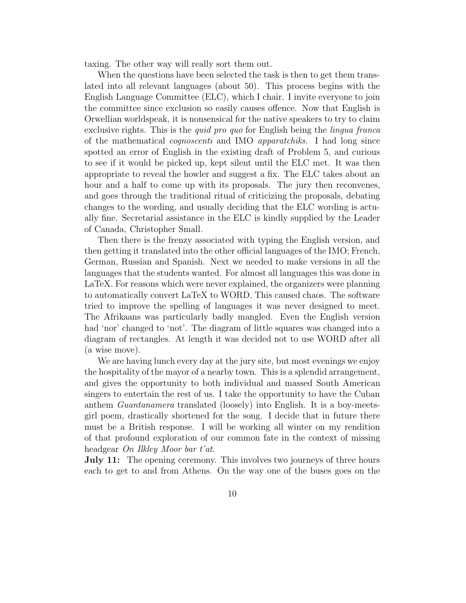taxing. The other way will really sort them out.

When the questions have been selected the task is then to get them translated into all relevant languages (about 50). This process begins with the English Language Committee (ELC), which I chair. I invite everyone to join the committee since exclusion so easily causes offence. Now that English is Orwellian worldspeak, it is nonsensical for the native speakers to try to claim exclusive rights. This is the *quid pro quo* for English being the *lingua franca* of the mathematical cognoscenti and IMO apparatchiks. I had long since spotted an error of English in the existing draft of Problem 5, and curious to see if it would be picked up, kept silent until the ELC met. It was then appropriate to reveal the howler and suggest a fix. The ELC takes about an hour and a half to come up with its proposals. The jury then reconvenes, and goes through the traditional ritual of criticizing the proposals, debating changes to the wording, and usually deciding that the ELC wording is actually fine. Secretarial assistance in the ELC is kindly supplied by the Leader of Canada, Christopher Small.

Then there is the frenzy associated with typing the English version, and then getting it translated into the other official languages of the IMO; French, German, Russian and Spanish. Next we needed to make versions in all the languages that the students wanted. For almost all languages this was done in LaTeX. For reasons which were never explained, the organizers were planning to automatically convert LaTeX to WORD. This caused chaos. The software tried to improve the spelling of languages it was never designed to meet. The Afrikaans was particularly badly mangled. Even the English version had 'nor' changed to 'not'. The diagram of little squares was changed into a diagram of rectangles. At length it was decided not to use WORD after all (a wise move).

We are having lunch every day at the jury site, but most evenings we enjoy the hospitality of the mayor of a nearby town. This is a splendid arrangement, and gives the opportunity to both individual and massed South American singers to entertain the rest of us. I take the opportunity to have the Cuban anthem Guantanamera translated (loosely) into English. It is a boy-meetsgirl poem, drastically shortened for the song. I decide that in future there must be a British response. I will be working all winter on my rendition of that profound exploration of our common fate in the context of missing headgear On Ilkley Moor bar t'at.

**July 11:** The opening ceremony. This involves two journeys of three hours each to get to and from Athens. On the way one of the buses goes on the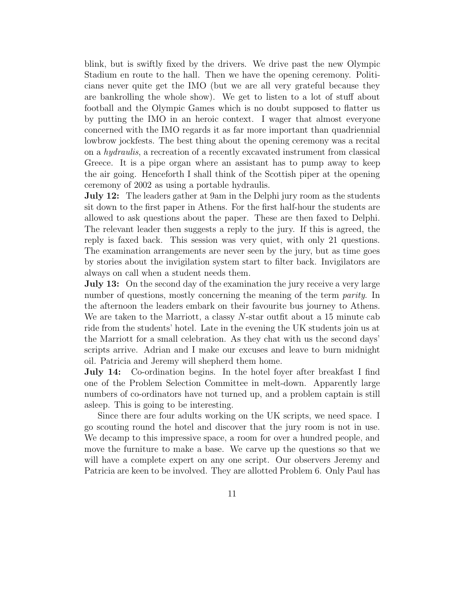blink, but is swiftly fixed by the drivers. We drive past the new Olympic Stadium en route to the hall. Then we have the opening ceremony. Politicians never quite get the IMO (but we are all very grateful because they are bankrolling the whole show). We get to listen to a lot of stuff about football and the Olympic Games which is no doubt supposed to flatter us by putting the IMO in an heroic context. I wager that almost everyone concerned with the IMO regards it as far more important than quadriennial lowbrow jockfests. The best thing about the opening ceremony was a recital on a hydraulis, a recreation of a recently excavated instrument from classical Greece. It is a pipe organ where an assistant has to pump away to keep the air going. Henceforth I shall think of the Scottish piper at the opening ceremony of 2002 as using a portable hydraulis.

**July 12:** The leaders gather at 9am in the Delphi jury room as the students sit down to the first paper in Athens. For the first half-hour the students are allowed to ask questions about the paper. These are then faxed to Delphi. The relevant leader then suggests a reply to the jury. If this is agreed, the reply is faxed back. This session was very quiet, with only 21 questions. The examination arrangements are never seen by the jury, but as time goes by stories about the invigilation system start to filter back. Invigilators are always on call when a student needs them.

**July 13:** On the second day of the examination the jury receive a very large number of questions, mostly concerning the meaning of the term *parity*. In the afternoon the leaders embark on their favourite bus journey to Athens. We are taken to the Marriott, a classy  $N$ -star outfit about a 15 minute cab ride from the students' hotel. Late in the evening the UK students join us at the Marriott for a small celebration. As they chat with us the second days' scripts arrive. Adrian and I make our excuses and leave to burn midnight oil. Patricia and Jeremy will shepherd them home.

**July 14:** Co-ordination begins. In the hotel foyer after breakfast I find one of the Problem Selection Committee in melt-down. Apparently large numbers of co-ordinators have not turned up, and a problem captain is still asleep. This is going to be interesting.

Since there are four adults working on the UK scripts, we need space. I go scouting round the hotel and discover that the jury room is not in use. We decamp to this impressive space, a room for over a hundred people, and move the furniture to make a base. We carve up the questions so that we will have a complete expert on any one script. Our observers Jeremy and Patricia are keen to be involved. They are allotted Problem 6. Only Paul has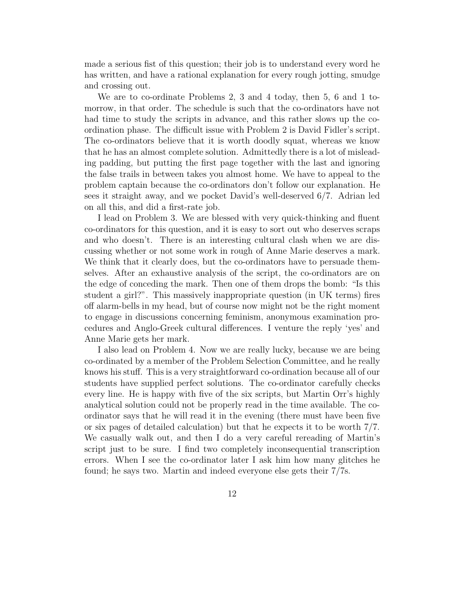made a serious fist of this question; their job is to understand every word he has written, and have a rational explanation for every rough jotting, smudge and crossing out.

We are to co-ordinate Problems 2, 3 and 4 today, then 5, 6 and 1 tomorrow, in that order. The schedule is such that the co-ordinators have not had time to study the scripts in advance, and this rather slows up the coordination phase. The difficult issue with Problem 2 is David Fidler's script. The co-ordinators believe that it is worth doodly squat, whereas we know that he has an almost complete solution. Admittedly there is a lot of misleading padding, but putting the first page together with the last and ignoring the false trails in between takes you almost home. We have to appeal to the problem captain because the co-ordinators don't follow our explanation. He sees it straight away, and we pocket David's well-deserved 6/7. Adrian led on all this, and did a first-rate job.

I lead on Problem 3. We are blessed with very quick-thinking and fluent co-ordinators for this question, and it is easy to sort out who deserves scraps and who doesn't. There is an interesting cultural clash when we are discussing whether or not some work in rough of Anne Marie deserves a mark. We think that it clearly does, but the co-ordinators have to persuade themselves. After an exhaustive analysis of the script, the co-ordinators are on the edge of conceding the mark. Then one of them drops the bomb: "Is this student a girl?". This massively inappropriate question (in UK terms) fires off alarm-bells in my head, but of course now might not be the right moment to engage in discussions concerning feminism, anonymous examination procedures and Anglo-Greek cultural differences. I venture the reply 'yes' and Anne Marie gets her mark.

I also lead on Problem 4. Now we are really lucky, because we are being co-ordinated by a member of the Problem Selection Committee, and he really knows his stuff. This is a very straightforward co-ordination because all of our students have supplied perfect solutions. The co-ordinator carefully checks every line. He is happy with five of the six scripts, but Martin Orr's highly analytical solution could not be properly read in the time available. The coordinator says that he will read it in the evening (there must have been five or six pages of detailed calculation) but that he expects it to be worth 7/7. We casually walk out, and then I do a very careful rereading of Martin's script just to be sure. I find two completely inconsequential transcription errors. When I see the co-ordinator later I ask him how many glitches he found; he says two. Martin and indeed everyone else gets their 7/7s.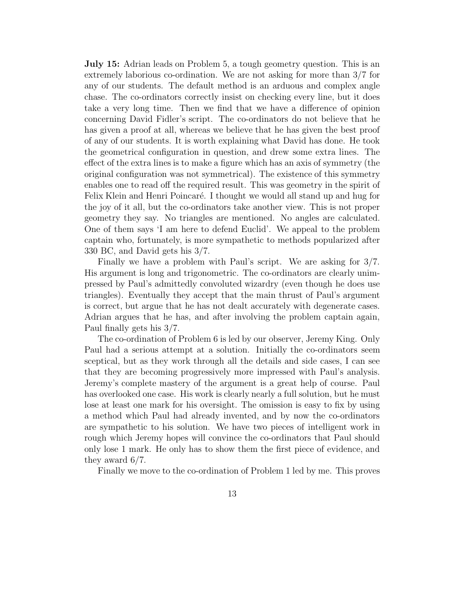**July 15:** Adrian leads on Problem 5, a tough geometry question. This is an extremely laborious co-ordination. We are not asking for more than 3/7 for any of our students. The default method is an arduous and complex angle chase. The co-ordinators correctly insist on checking every line, but it does take a very long time. Then we find that we have a difference of opinion concerning David Fidler's script. The co-ordinators do not believe that he has given a proof at all, whereas we believe that he has given the best proof of any of our students. It is worth explaining what David has done. He took the geometrical configuration in question, and drew some extra lines. The effect of the extra lines is to make a figure which has an axis of symmetry (the original configuration was not symmetrical). The existence of this symmetry enables one to read off the required result. This was geometry in the spirit of Felix Klein and Henri Poincaré. I thought we would all stand up and hug for the joy of it all, but the co-ordinators take another view. This is not proper geometry they say. No triangles are mentioned. No angles are calculated. One of them says 'I am here to defend Euclid'. We appeal to the problem captain who, fortunately, is more sympathetic to methods popularized after 330 BC, and David gets his 3/7.

Finally we have a problem with Paul's script. We are asking for 3/7. His argument is long and trigonometric. The co-ordinators are clearly unimpressed by Paul's admittedly convoluted wizardry (even though he does use triangles). Eventually they accept that the main thrust of Paul's argument is correct, but argue that he has not dealt accurately with degenerate cases. Adrian argues that he has, and after involving the problem captain again, Paul finally gets his 3/7.

The co-ordination of Problem 6 is led by our observer, Jeremy King. Only Paul had a serious attempt at a solution. Initially the co-ordinators seem sceptical, but as they work through all the details and side cases, I can see that they are becoming progressively more impressed with Paul's analysis. Jeremy's complete mastery of the argument is a great help of course. Paul has overlooked one case. His work is clearly nearly a full solution, but he must lose at least one mark for his oversight. The omission is easy to fix by using a method which Paul had already invented, and by now the co-ordinators are sympathetic to his solution. We have two pieces of intelligent work in rough which Jeremy hopes will convince the co-ordinators that Paul should only lose 1 mark. He only has to show them the first piece of evidence, and they award 6/7.

Finally we move to the co-ordination of Problem 1 led by me. This proves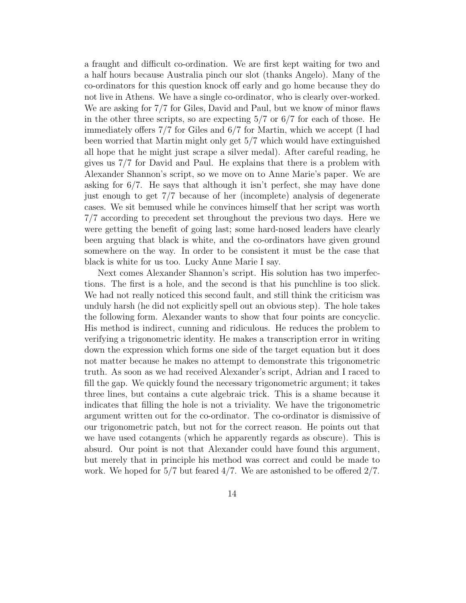a fraught and difficult co-ordination. We are first kept waiting for two and a half hours because Australia pinch our slot (thanks Angelo). Many of the co-ordinators for this question knock off early and go home because they do not live in Athens. We have a single co-ordinator, who is clearly over-worked. We are asking for 7/7 for Giles, David and Paul, but we know of minor flaws in the other three scripts, so are expecting  $5/7$  or  $6/7$  for each of those. He immediately offers 7/7 for Giles and 6/7 for Martin, which we accept (I had been worried that Martin might only get 5/7 which would have extinguished all hope that he might just scrape a silver medal). After careful reading, he gives us 7/7 for David and Paul. He explains that there is a problem with Alexander Shannon's script, so we move on to Anne Marie's paper. We are asking for 6/7. He says that although it isn't perfect, she may have done just enough to get 7/7 because of her (incomplete) analysis of degenerate cases. We sit bemused while he convinces himself that her script was worth 7/7 according to precedent set throughout the previous two days. Here we were getting the benefit of going last; some hard-nosed leaders have clearly been arguing that black is white, and the co-ordinators have given ground somewhere on the way. In order to be consistent it must be the case that black is white for us too. Lucky Anne Marie I say.

Next comes Alexander Shannon's script. His solution has two imperfections. The first is a hole, and the second is that his punchline is too slick. We had not really noticed this second fault, and still think the criticism was unduly harsh (he did not explicitly spell out an obvious step). The hole takes the following form. Alexander wants to show that four points are concyclic. His method is indirect, cunning and ridiculous. He reduces the problem to verifying a trigonometric identity. He makes a transcription error in writing down the expression which forms one side of the target equation but it does not matter because he makes no attempt to demonstrate this trigonometric truth. As soon as we had received Alexander's script, Adrian and I raced to fill the gap. We quickly found the necessary trigonometric argument; it takes three lines, but contains a cute algebraic trick. This is a shame because it indicates that filling the hole is not a triviality. We have the trigonometric argument written out for the co-ordinator. The co-ordinator is dismissive of our trigonometric patch, but not for the correct reason. He points out that we have used cotangents (which he apparently regards as obscure). This is absurd. Our point is not that Alexander could have found this argument, but merely that in principle his method was correct and could be made to work. We hoped for  $5/7$  but feared  $4/7$ . We are astonished to be offered  $2/7$ .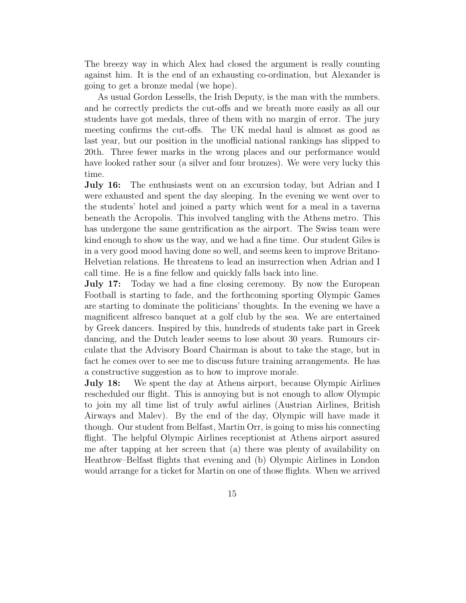The breezy way in which Alex had closed the argument is really counting against him. It is the end of an exhausting co-ordination, but Alexander is going to get a bronze medal (we hope).

As usual Gordon Lessells, the Irish Deputy, is the man with the numbers. and he correctly predicts the cut-offs and we breath more easily as all our students have got medals, three of them with no margin of error. The jury meeting confirms the cut-offs. The UK medal haul is almost as good as last year, but our position in the unofficial national rankings has slipped to 20th. Three fewer marks in the wrong places and our performance would have looked rather sour (a silver and four bronzes). We were very lucky this time.

**July 16:** The enthusiasts went on an excursion today, but Adrian and I were exhausted and spent the day sleeping. In the evening we went over to the students' hotel and joined a party which went for a meal in a taverna beneath the Acropolis. This involved tangling with the Athens metro. This has undergone the same gentrification as the airport. The Swiss team were kind enough to show us the way, and we had a fine time. Our student Giles is in a very good mood having done so well, and seems keen to improve Britano-Helvetian relations. He threatens to lead an insurrection when Adrian and I call time. He is a fine fellow and quickly falls back into line.

**July 17:** Today we had a fine closing ceremony. By now the European Football is starting to fade, and the forthcoming sporting Olympic Games are starting to dominate the politicians' thoughts. In the evening we have a magnificent alfresco banquet at a golf club by the sea. We are entertained by Greek dancers. Inspired by this, hundreds of students take part in Greek dancing, and the Dutch leader seems to lose about 30 years. Rumours circulate that the Advisory Board Chairman is about to take the stage, but in fact he comes over to see me to discuss future training arrangements. He has a constructive suggestion as to how to improve morale.

**July 18:** We spent the day at Athens airport, because Olympic Airlines rescheduled our flight. This is annoying but is not enough to allow Olympic to join my all time list of truly awful airlines (Austrian Airlines, British Airways and Malev). By the end of the day, Olympic will have made it though. Our student from Belfast, Martin Orr, is going to miss his connecting flight. The helpful Olympic Airlines receptionist at Athens airport assured me after tapping at her screen that (a) there was plenty of availability on Heathrow–Belfast flights that evening and (b) Olympic Airlines in London would arrange for a ticket for Martin on one of those flights. When we arrived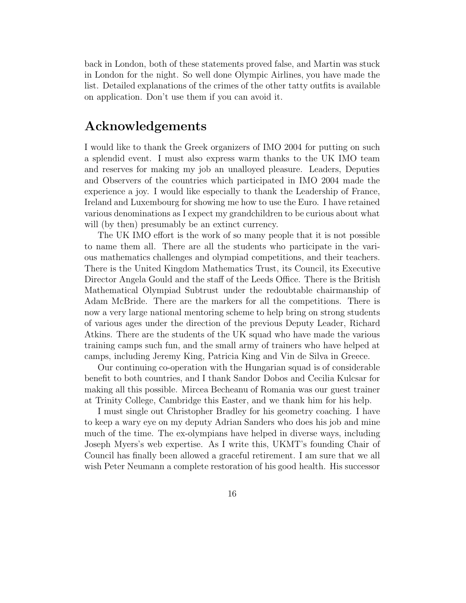back in London, both of these statements proved false, and Martin was stuck in London for the night. So well done Olympic Airlines, you have made the list. Detailed explanations of the crimes of the other tatty outfits is available on application. Don't use them if you can avoid it.

## **Acknowledgements**

I would like to thank the Greek organizers of IMO 2004 for putting on such a splendid event. I must also express warm thanks to the UK IMO team and reserves for making my job an unalloyed pleasure. Leaders, Deputies and Observers of the countries which participated in IMO 2004 made the experience a joy. I would like especially to thank the Leadership of France, Ireland and Luxembourg for showing me how to use the Euro. I have retained various denominations as I expect my grandchildren to be curious about what will (by then) presumably be an extinct currency.

The UK IMO effort is the work of so many people that it is not possible to name them all. There are all the students who participate in the various mathematics challenges and olympiad competitions, and their teachers. There is the United Kingdom Mathematics Trust, its Council, its Executive Director Angela Gould and the staff of the Leeds Office. There is the British Mathematical Olympiad Subtrust under the redoubtable chairmanship of Adam McBride. There are the markers for all the competitions. There is now a very large national mentoring scheme to help bring on strong students of various ages under the direction of the previous Deputy Leader, Richard Atkins. There are the students of the UK squad who have made the various training camps such fun, and the small army of trainers who have helped at camps, including Jeremy King, Patricia King and Vin de Silva in Greece.

Our continuing co-operation with the Hungarian squad is of considerable benefit to both countries, and I thank Sandor Dobos and Cecilia Kulcsar for making all this possible. Mircea Becheanu of Romania was our guest trainer at Trinity College, Cambridge this Easter, and we thank him for his help.

I must single out Christopher Bradley for his geometry coaching. I have to keep a wary eye on my deputy Adrian Sanders who does his job and mine much of the time. The ex-olympians have helped in diverse ways, including Joseph Myers's web expertise. As I write this, UKMT's founding Chair of Council has finally been allowed a graceful retirement. I am sure that we all wish Peter Neumann a complete restoration of his good health. His successor